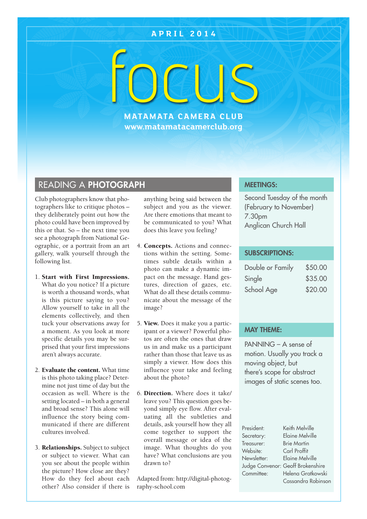# **A P R I L 2 0 1 4**

FOCUS

**MATAMATA CAMERA CLUB www.matamatacamerclub.org**

# READING A **PHOTOGRAPH**

Club photographers know that photographers like to critique photos – they deliberately point out how the photo could have been improved by this or that. So – the next time you see a photograph from National Geographic, or a portrait from an art gallery, walk yourself through the following list.

### 1. **Start with First Impressions.** What do you notice? If a picture is worth a thousand words, what is this picture saying to you? Allow yourself to take in all the elements collectively, and then tuck your observations away for a moment. As you look at more specific details you may be surprised that your first impressions aren't always accurate.

- 2. **Evaluate the content.** What time is this photo taking place? Determine not just time of day but the occasion as well. Where is the setting located – in both a general and broad sense? This alone will influence the story being communicated if there are different cultures involved.
- 3. **Relationships.** Subject to subject or subject to viewer. What can you see about the people within the picture? How close are they? How do they feel about each other? Also consider if there is

anything being said between the subject and you as the viewer. Are there emotions that meant to be communicated to you? What does this leave you feeling?

- 4. **Concepts.** Actions and connections within the setting. Sometimes subtle details within a photo can make a dynamic impact on the message. Hand gestures, direction of gazes, etc. What do all these details communicate about the message of the image?
- 5. **View.** Does it make you a participant or a viewer? Powerful photos are often the ones that draw us in and make us a participant rather than those that leave us as simply a viewer. How does this influence your take and feeling about the photo?
- 6. **Direction.** Where does it take/ leave you? This question goes beyond simply eye flow. After evaluating all the subtleties and details, ask yourself how they all come together to support the overall message or idea of the image. What thoughts do you have? What conclusions are you drawn to?

Adapted from: http://digital-photography-school.com

## **MEETINGS:**

Second Tuesday of the month (February to November) 7.30pm Anglican Church Hall

### **SUBSCRIPTIONS:**

| Double or Family | \$50.00 |
|------------------|---------|
| Single           | \$35.00 |
| School Age       | \$20.00 |

### **MAY THEME:**

PANNING – A sense of motion. Usually you track a moving object, but there's scope for abstract images of static scenes too.

| President:  | Keith Melville                    |
|-------------|-----------------------------------|
| Secretary:  | Elaine Melville                   |
| Treasurer:  | <b>Brie Martin</b>                |
| Website:    | Carl Proffit                      |
| Newsletter: | Elaine Melville                   |
|             | Judge Convenor: Geoff Brokenshire |
| Committee:  | Helena Gratkowski                 |
|             | Cassandra Robinson                |